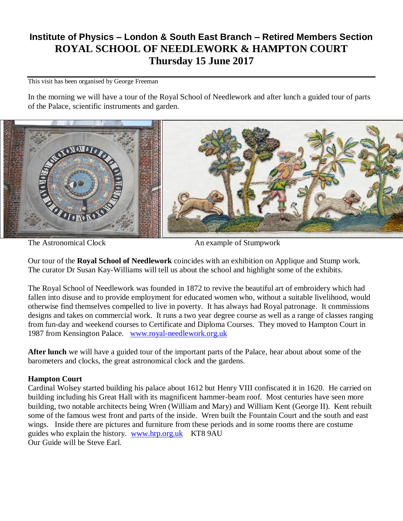# **Institute of Physics – London & South East Branch – Retired Members Section ROYAL SCHOOL OF NEEDLEWORK & HAMPTON COURT Thursday 15 June 2017**

This visit has been organised by George Freeman

In the morning we will have a tour of the Royal School of Needlework and after lunch a guided tour of parts of the Palace, scientific instruments and garden.



The Astronomical Clock An example of Stumpwork

Our tour of the **Royal School of Needlework** coincides with an exhibition on Applique and Stump work. The curator Dr Susan Kay-Williams will tell us about the school and highlight some of the exhibits.

The Royal School of Needlework was founded in 1872 to revive the beautiful art of embroidery which had fallen into disuse and to provide employment for educated women who, without a suitable livelihood, would otherwise find themselves compelled to live in poverty. It has always had Royal patronage. It commissions designs and takes on commercial work. It runs a two year degree course as well as a range of classes ranging from fun-day and weekend courses to Certificate and Diploma Courses. They moved to Hampton Court in 1987 from Kensington Palace. [www.royal-needlework.org.uk](http://www.royal-needlework.org.uk/)

**After lunch** we will have a guided tour of the important parts of the Palace, hear about about some of the barometers and clocks, the great astronomical clock and the gardens.

# **Hampton Court**

Cardinal Wolsey started building his palace about 1612 but Henry VIII confiscated it in 1620. He carried on building including his Great Hall with its magnificent hammer-beam roof. Most centuries have seen more building, two notable architects being Wren (William and Mary) and William Kent (George II). Kent rebuilt some of the famous west front and parts of the inside. Wren built the Fountain Court and the south and east wings. Inside there are pictures and furniture from these periods and in some rooms there are costume guides who explain the history. [www.hrp.org.uk](http://www.hrp.org.uk/) KT8 9AU Our Guide will be Steve Earl.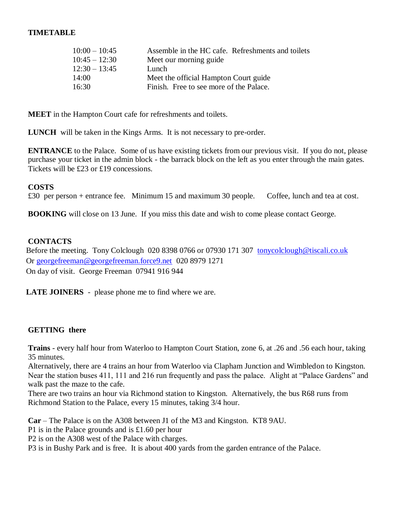## **TIMETABLE**

| Assemble in the HC cafe. Refreshments and toilets |
|---------------------------------------------------|
| Meet our morning guide                            |
| Lunch                                             |
| Meet the official Hampton Court guide             |
| Finish. Free to see more of the Palace.           |
|                                                   |

**MEET** in the Hampton Court cafe for refreshments and toilets.

**LUNCH** will be taken in the Kings Arms. It is not necessary to pre-order.

**ENTRANCE** to the Palace. Some of us have existing tickets from our previous visit. If you do not, please purchase your ticket in the admin block - the barrack block on the left as you enter through the main gates. Tickets will be £23 or £19 concessions.

#### **COSTS**

£30 per person + entrance fee. Minimum 15 and maximum 30 people. Coffee, lunch and tea at cost.

**BOOKING** will close on 13 June. If you miss this date and wish to come please contact George.

### **CONTACTS**

Before the meeting. Tony Colclough 020 8398 0766 or 07930 171 307 [tonycolclough@tiscali.co.uk](mailto:tonycolclough@tiscali.co.uk) Or [georgefreeman@georgefreeman.force9.net](mailto:georgefreeman@georgefreeman.force9.net) 020 8979 1271 On day of visit. George Freeman 07941 916 944

**LATE JOINERS** - please phone me to find where we are.

# **GETTING there**

**Trains** - every half hour from Waterloo to Hampton Court Station, zone 6, at .26 and .56 each hour, taking 35 minutes.

Alternatively, there are 4 trains an hour from Waterloo via Clapham Junction and Wimbledon to Kingston. Near the station buses 411, 111 and 216 run frequently and pass the palace. Alight at "Palace Gardens" and walk past the maze to the cafe.

There are two trains an hour via Richmond station to Kingston. Alternatively, the bus R68 runs from Richmond Station to the Palace, every 15 minutes, taking 3/4 hour.

**Car** – The Palace is on the A308 between J1 of the M3 and Kingston. KT8 9AU.

P1 is in the Palace grounds and is £1.60 per hour

P2 is on the A308 west of the Palace with charges.

P3 is in Bushy Park and is free. It is about 400 yards from the garden entrance of the Palace.